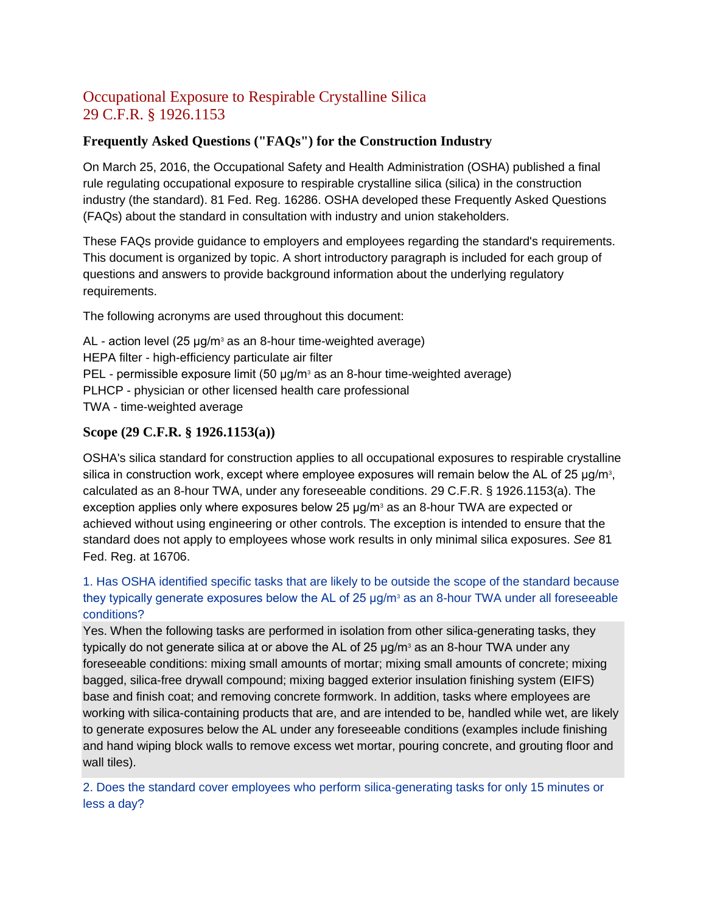# Occupational Exposure to Respirable Crystalline Silica 29 C.F.R. § 1926.1153

## **Frequently Asked Questions ("FAQs") for the Construction Industry**

On March 25, 2016, the Occupational Safety and Health Administration (OSHA) published a final rule regulating occupational exposure to respirable crystalline silica (silica) in the construction industry (the standard). 81 Fed. Reg. 16286. OSHA developed these Frequently Asked Questions (FAQs) about the standard in consultation with industry and union stakeholders.

These FAQs provide guidance to employers and employees regarding the standard's requirements. This document is organized by topic. A short introductory paragraph is included for each group of questions and answers to provide background information about the underlying regulatory requirements.

The following acronyms are used throughout this document:

 $AL$  - action level (25  $\mu q/m^3$  as an 8-hour time-weighted average) HEPA filter - high-efficiency particulate air filter PEL - permissible exposure limit  $(50 \mu q/m^3)$  as an 8-hour time-weighted average) PLHCP - physician or other licensed health care professional TWA - time-weighted average

## **Scope (29 C.F.R. § 1926.1153(a))**

OSHA's silica standard for construction applies to all occupational exposures to respirable crystalline silica in construction work, except where employee exposures will remain below the AL of 25  $\mu$ g/m<sup>3</sup>, calculated as an 8-hour TWA, under any foreseeable conditions. 29 C.F.R. § 1926.1153(a). The exception applies only where exposures below 25  $\mu$ g/m<sup>3</sup> as an 8-hour TWA are expected or achieved without using engineering or other controls. The exception is intended to ensure that the standard does not apply to employees whose work results in only minimal silica exposures. *See* 81 Fed. Reg. at 16706.

## [1. Has OSHA identified specific tasks that are likely to be outside the scope of the standard because](https://www.osha.gov/dsg/topics/silicacrystalline/construction_info_silica.html#collapse1_1)  they typically generate exposures below the AL of 25  $\mu q/m^3$  as an 8-hour TWA under all foreseeable [conditions?](https://www.osha.gov/dsg/topics/silicacrystalline/construction_info_silica.html#collapse1_1)

Yes. When the following tasks are performed in isolation from other silica-generating tasks, they typically do not generate silica at or above the AL of 25  $\mu$ g/m<sup>3</sup> as an 8-hour TWA under any foreseeable conditions: mixing small amounts of mortar; mixing small amounts of concrete; mixing bagged, silica-free drywall compound; mixing bagged exterior insulation finishing system (EIFS) base and finish coat; and removing concrete formwork. In addition, tasks where employees are working with silica-containing products that are, and are intended to be, handled while wet, are likely to generate exposures below the AL under any foreseeable conditions (examples include finishing and hand wiping block walls to remove excess wet mortar, pouring concrete, and grouting floor and wall tiles).

[2. Does the standard cover employees who perform silica-generating tasks for only 15 minutes or](https://www.osha.gov/dsg/topics/silicacrystalline/construction_info_silica.html#collapse1_2)  [less a day?](https://www.osha.gov/dsg/topics/silicacrystalline/construction_info_silica.html#collapse1_2)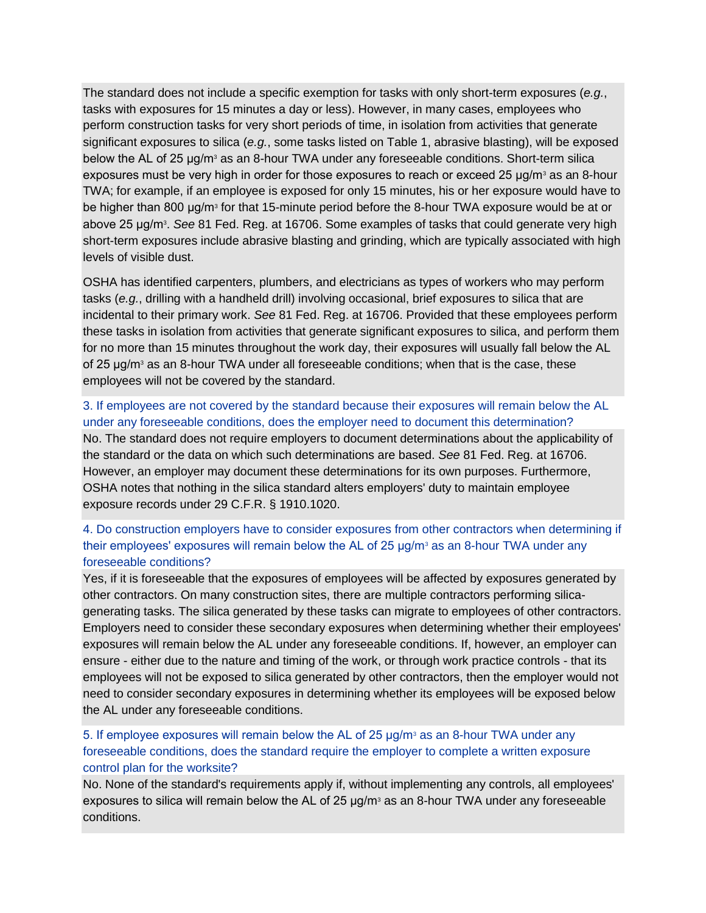The standard does not include a specific exemption for tasks with only short-term exposures (*e.g.*, tasks with exposures for 15 minutes a day or less). However, in many cases, employees who perform construction tasks for very short periods of time, in isolation from activities that generate significant exposures to silica (*e.g.*, some tasks listed on Table 1, abrasive blasting), will be exposed below the AL of 25 μg/m<sup>3</sup> as an 8-hour TWA under any foreseeable conditions. Short-term silica exposures must be very high in order for those exposures to reach or exceed 25  $\mu$ g/m<sup>3</sup> as an 8-hour TWA; for example, if an employee is exposed for only 15 minutes, his or her exposure would have to be higher than 800 μg/m $\mathrm{^3}$  for that 15-minute period before the 8-hour TWA exposure would be at or above 25 μg/m<sup>3</sup> . *See* 81 Fed. Reg. at 16706. Some examples of tasks that could generate very high short-term exposures include abrasive blasting and grinding, which are typically associated with high levels of visible dust.

OSHA has identified carpenters, plumbers, and electricians as types of workers who may perform tasks (*e.g.*, drilling with a handheld drill) involving occasional, brief exposures to silica that are incidental to their primary work. *See* 81 Fed. Reg. at 16706. Provided that these employees perform these tasks in isolation from activities that generate significant exposures to silica, and perform them for no more than 15 minutes throughout the work day, their exposures will usually fall below the AL of 25  $\mu$ g/m<sup>3</sup> as an 8-hour TWA under all foreseeable conditions; when that is the case, these employees will not be covered by the standard.

### [3. If employees are not covered by the standard because their exposures will remain below the AL](https://www.osha.gov/dsg/topics/silicacrystalline/construction_info_silica.html#collapse1_3)  [under any foreseeable conditions, does the employer need to document this determination?](https://www.osha.gov/dsg/topics/silicacrystalline/construction_info_silica.html#collapse1_3)

No. The standard does not require employers to document determinations about the applicability of the standard or the data on which such determinations are based. *See* 81 Fed. Reg. at 16706. However, an employer may document these determinations for its own purposes. Furthermore, OSHA notes that nothing in the silica standard alters employers' duty to maintain employee exposure records under 29 C.F.R. § 1910.1020.

### 4. Do construction employers have to [consider exposures from other contractors when determining if](https://www.osha.gov/dsg/topics/silicacrystalline/construction_info_silica.html#collapse1_4)  [their employees' exposures will remain below the AL of 25 μg/m](https://www.osha.gov/dsg/topics/silicacrystalline/construction_info_silica.html#collapse1_4)<sup>3</sup> as an 8-hour TWA under any [foreseeable conditions?](https://www.osha.gov/dsg/topics/silicacrystalline/construction_info_silica.html#collapse1_4)

Yes, if it is foreseeable that the exposures of employees will be affected by exposures generated by other contractors. On many construction sites, there are multiple contractors performing silicagenerating tasks. The silica generated by these tasks can migrate to employees of other contractors. Employers need to consider these secondary exposures when determining whether their employees' exposures will remain below the AL under any foreseeable conditions. If, however, an employer can ensure - either due to the nature and timing of the work, or through work practice controls - that its employees will not be exposed to silica generated by other contractors, then the employer would not need to consider secondary exposures in determining whether its employees will be exposed below the AL under any foreseeable conditions.

## [5. If employee exposures will remain below the AL of 25 μg/m](https://www.osha.gov/dsg/topics/silicacrystalline/construction_info_silica.html#collapse1_5)<sup>3</sup> as an 8-hour TWA under any [foreseeable conditions, does the standard require the employer to complete a written exposure](https://www.osha.gov/dsg/topics/silicacrystalline/construction_info_silica.html#collapse1_5)  [control plan for the worksite?](https://www.osha.gov/dsg/topics/silicacrystalline/construction_info_silica.html#collapse1_5)

No. None of the standard's requirements apply if, without implementing any controls, all employees' exposures to silica will remain below the AL of 25  $\mu$ g/m<sup>3</sup> as an 8-hour TWA under any foreseeable conditions.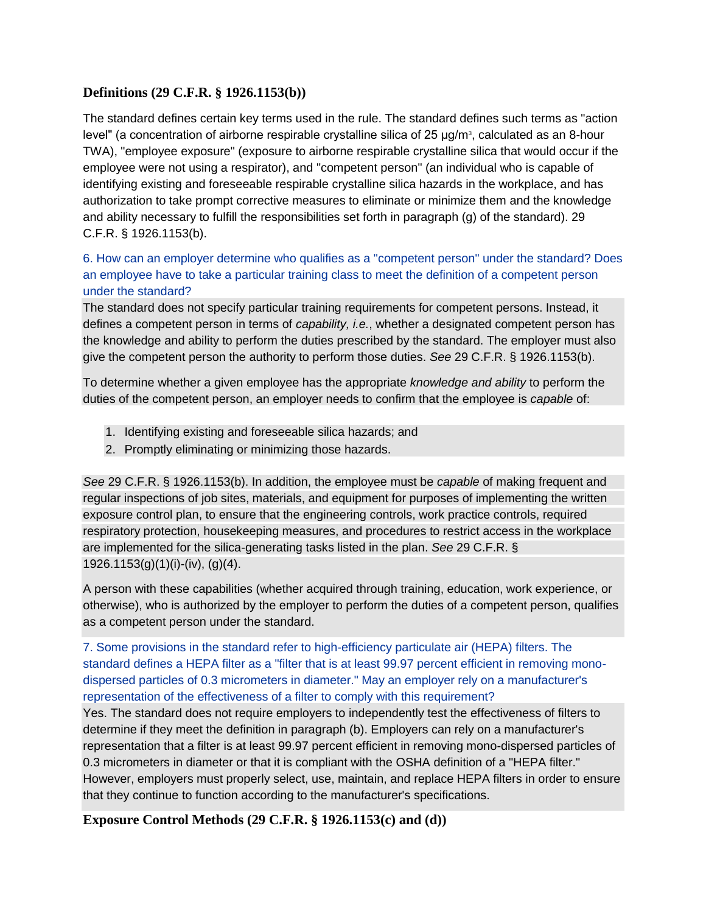## **Definitions (29 C.F.R. § 1926.1153(b))**

The standard defines certain key terms used in the rule. The standard defines such terms as "action level" (a concentration of airborne respirable crystalline silica of 25  $\mu$ g/m $^{\circ}$ , calculated as an 8-hour TWA), "employee exposure" (exposure to airborne respirable crystalline silica that would occur if the employee were not using a respirator), and "competent person" (an individual who is capable of identifying existing and foreseeable respirable crystalline silica hazards in the workplace, and has authorization to take prompt corrective measures to eliminate or minimize them and the knowledge and ability necessary to fulfill the responsibilities set forth in paragraph (g) of the standard). 29 C.F.R. § 1926.1153(b).

[6. How can an employer determine who qualifies as a "competent person" under the standard? Does](https://www.osha.gov/dsg/topics/silicacrystalline/construction_info_silica.html#collapse2_1)  [an employee have to take a particular training class to meet the definition of a competent person](https://www.osha.gov/dsg/topics/silicacrystalline/construction_info_silica.html#collapse2_1)  [under the standard?](https://www.osha.gov/dsg/topics/silicacrystalline/construction_info_silica.html#collapse2_1)

The standard does not specify particular training requirements for competent persons. Instead, it defines a competent person in terms of *capability, i.e.*, whether a designated competent person has the knowledge and ability to perform the duties prescribed by the standard. The employer must also give the competent person the authority to perform those duties. *See* 29 C.F.R. § 1926.1153(b).

To determine whether a given employee has the appropriate *knowledge and ability* to perform the duties of the competent person, an employer needs to confirm that the employee is *capable* of:

- 1. Identifying existing and foreseeable silica hazards; and
- 2. Promptly eliminating or minimizing those hazards.

*See* 29 C.F.R. § 1926.1153(b). In addition, the employee must be *capable* of making frequent and regular inspections of job sites, materials, and equipment for purposes of implementing the written exposure control plan, to ensure that the engineering controls, work practice controls, required respiratory protection, housekeeping measures, and procedures to restrict access in the workplace are implemented for the silica-generating tasks listed in the plan. *See* 29 C.F.R. § 1926.1153(g)(1)(i)-(iv), (g)(4).

A person with these capabilities (whether acquired through training, education, work experience, or otherwise), who is authorized by the employer to perform the duties of a competent person, qualifies as a competent person under the standard.

[7. Some provisions in the standard refer to high-efficiency particulate air \(HEPA\) filters. The](https://www.osha.gov/dsg/topics/silicacrystalline/construction_info_silica.html#collapse2_2)  [standard defines a HEPA filter as a "filter that is at least 99.97 percent efficient in removing mono](https://www.osha.gov/dsg/topics/silicacrystalline/construction_info_silica.html#collapse2_2)dispersed particles of [0.3 micrometers in diameter." May an employer rely on a manufacturer's](https://www.osha.gov/dsg/topics/silicacrystalline/construction_info_silica.html#collapse2_2)  [representation of the effectiveness of a filter to comply with this requirement?](https://www.osha.gov/dsg/topics/silicacrystalline/construction_info_silica.html#collapse2_2)

Yes. The standard does not require employers to independently test the effectiveness of filters to determine if they meet the definition in paragraph (b). Employers can rely on a manufacturer's representation that a filter is at least 99.97 percent efficient in removing mono-dispersed particles of 0.3 micrometers in diameter or that it is compliant with the OSHA definition of a "HEPA filter." However, employers must properly select, use, maintain, and replace HEPA filters in order to ensure that they continue to function according to the manufacturer's specifications.

**Exposure Control Methods (29 C.F.R. § 1926.1153(c) and (d))**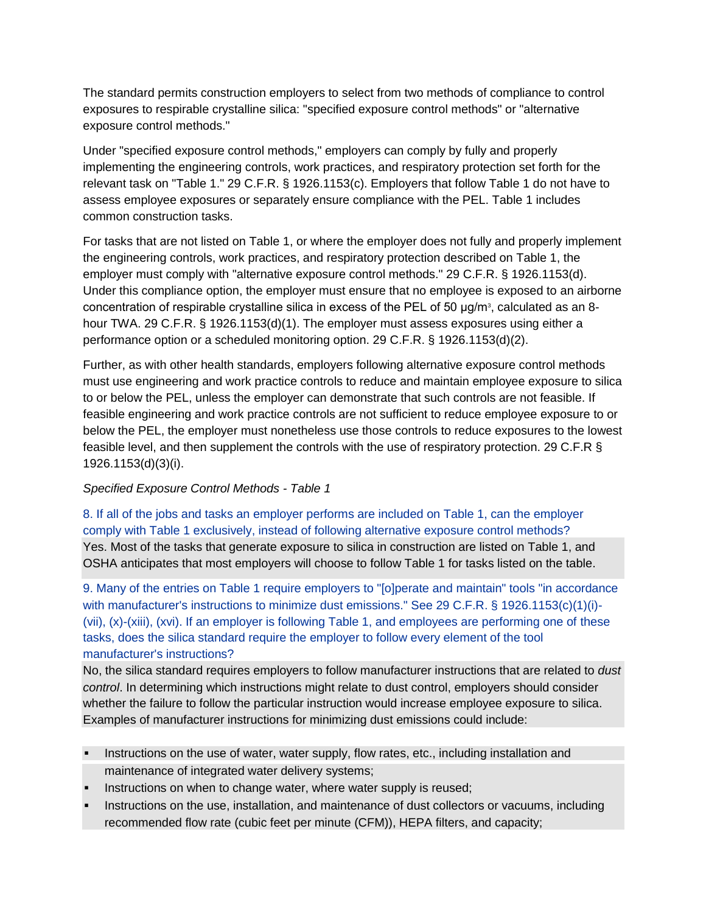The standard permits construction employers to select from two methods of compliance to control exposures to respirable crystalline silica: "specified exposure control methods" or "alternative exposure control methods."

Under "specified exposure control methods," employers can comply by fully and properly implementing the engineering controls, work practices, and respiratory protection set forth for the relevant task on "Table 1." 29 C.F.R. § 1926.1153(c). Employers that follow Table 1 do not have to assess employee exposures or separately ensure compliance with the PEL. Table 1 includes common construction tasks.

For tasks that are not listed on Table 1, or where the employer does not fully and properly implement the engineering controls, work practices, and respiratory protection described on Table 1, the employer must comply with "alternative exposure control methods." 29 C.F.R. § 1926.1153(d). Under this compliance option, the employer must ensure that no employee is exposed to an airborne concentration of respirable crystalline silica in excess of the PEL of 50 μg/m<sup>3</sup>, calculated as an 8hour TWA. 29 C.F.R. § 1926.1153(d)(1). The employer must assess exposures using either a performance option or a scheduled monitoring option. 29 C.F.R. § 1926.1153(d)(2).

Further, as with other health standards, employers following alternative exposure control methods must use engineering and work practice controls to reduce and maintain employee exposure to silica to or below the PEL, unless the employer can demonstrate that such controls are not feasible. If feasible engineering and work practice controls are not sufficient to reduce employee exposure to or below the PEL, the employer must nonetheless use those controls to reduce exposures to the lowest feasible level, and then supplement the controls with the use of respiratory protection. 29 C.F.R § 1926.1153(d)(3)(i).

### *Specified Exposure Control Methods - Table 1*

[8. If all of the jobs and tasks an employer performs are included on Table 1, can the employer](https://www.osha.gov/dsg/topics/silicacrystalline/construction_info_silica.html#collapse3_1)  [comply with Table 1 exclusively, instead of following alternative exposure control methods?](https://www.osha.gov/dsg/topics/silicacrystalline/construction_info_silica.html#collapse3_1) Yes. Most of the tasks that generate exposure to silica in construction are listed on Table 1, and OSHA anticipates that most employers will choose to follow Table 1 for tasks listed on the table.

[9. Many of the entries on Table 1 require employers to "\[o\]perate and maintain" tools "in accordance](https://www.osha.gov/dsg/topics/silicacrystalline/construction_info_silica.html#collapse3_2)  [with manufacturer's instructions to minimize dust emissions." See 29 C.F.R. § 1926.1153\(c\)\(1\)\(i\)-](https://www.osha.gov/dsg/topics/silicacrystalline/construction_info_silica.html#collapse3_2) [\(vii\), \(x\)-\(xiii\), \(xvi\). If an employer is following Table 1, and employees are performing one of](https://www.osha.gov/dsg/topics/silicacrystalline/construction_info_silica.html#collapse3_2) these [tasks, does the silica standard require the employer to follow every element of the tool](https://www.osha.gov/dsg/topics/silicacrystalline/construction_info_silica.html#collapse3_2)  [manufacturer's instructions?](https://www.osha.gov/dsg/topics/silicacrystalline/construction_info_silica.html#collapse3_2)

No, the silica standard requires employers to follow manufacturer instructions that are related to *dust control*. In determining which instructions might relate to dust control, employers should consider whether the failure to follow the particular instruction would increase employee exposure to silica. Examples of manufacturer instructions for minimizing dust emissions could include:

- Instructions on the use of water, water supply, flow rates, etc., including installation and maintenance of integrated water delivery systems;
- Instructions on when to change water, where water supply is reused;
- Instructions on the use, installation, and maintenance of dust collectors or vacuums, including recommended flow rate (cubic feet per minute (CFM)), HEPA filters, and capacity;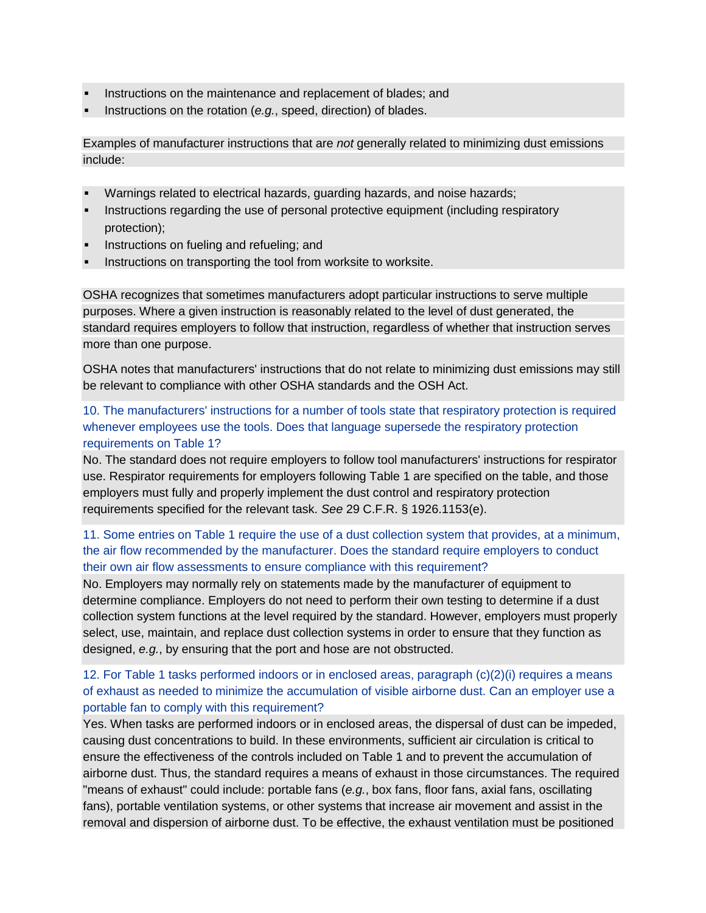- Instructions on the maintenance and replacement of blades; and
- Instructions on the rotation (*e.g.*, speed, direction) of blades.

Examples of manufacturer instructions that are *not* generally related to minimizing dust emissions include:

- Warnings related to electrical hazards, guarding hazards, and noise hazards;
- Instructions regarding the use of personal protective equipment (including respiratory protection);
- Instructions on fueling and refueling; and
- Instructions on transporting the tool from worksite to worksite.

OSHA recognizes that sometimes manufacturers adopt particular instructions to serve multiple purposes. Where a given instruction is reasonably related to the level of dust generated, the standard requires employers to follow that instruction, regardless of whether that instruction serves more than one purpose.

OSHA notes that manufacturers' instructions that do not relate to minimizing dust emissions may still be relevant to compliance with other OSHA standards and the OSH Act.

## [10. The manufacturers' instructions for a number of tools state that respiratory protection is required](https://www.osha.gov/dsg/topics/silicacrystalline/construction_info_silica.html#collapse3_3)  [whenever employees use the tools. Does that language supersede the respiratory protection](https://www.osha.gov/dsg/topics/silicacrystalline/construction_info_silica.html#collapse3_3)  [requirements on Table 1?](https://www.osha.gov/dsg/topics/silicacrystalline/construction_info_silica.html#collapse3_3)

No. The standard does not require employers to follow tool manufacturers' instructions for respirator use. Respirator requirements for employers following Table 1 are specified on the table, and those employers must fully and properly implement the dust control and respiratory protection requirements specified for the relevant task. *See* 29 C.F.R. § 1926.1153(e).

### [11. Some entries on Table 1 require the use of a dust collection system that provides, at a minimum,](https://www.osha.gov/dsg/topics/silicacrystalline/construction_info_silica.html#collapse3_4)  [the air flow recommended by the manufacturer. Does the standard require employers to conduct](https://www.osha.gov/dsg/topics/silicacrystalline/construction_info_silica.html#collapse3_4)  [their own air flow assessments to ensure compliance with this requirement?](https://www.osha.gov/dsg/topics/silicacrystalline/construction_info_silica.html#collapse3_4)

No. Employers may normally rely on statements made by the manufacturer of equipment to determine compliance. Employers do not need to perform their own testing to determine if a dust collection system functions at the level required by the standard. However, employers must properly select, use, maintain, and replace dust collection systems in order to ensure that they function as designed, *e.g.*, by ensuring that the port and hose are not obstructed.

### [12. For Table 1 tasks performed indoors or in enclosed areas, paragraph \(c\)\(2\)\(i\) requires a means](https://www.osha.gov/dsg/topics/silicacrystalline/construction_info_silica.html#collapse3_5)  [of exhaust as needed to minimize the accumulation of visible airborne dust. Can an employer use a](https://www.osha.gov/dsg/topics/silicacrystalline/construction_info_silica.html#collapse3_5)  [portable fan to comply with this requirement?](https://www.osha.gov/dsg/topics/silicacrystalline/construction_info_silica.html#collapse3_5)

Yes. When tasks are performed indoors or in enclosed areas, the dispersal of dust can be impeded, causing dust concentrations to build. In these environments, sufficient air circulation is critical to ensure the effectiveness of the controls included on Table 1 and to prevent the accumulation of airborne dust. Thus, the standard requires a means of exhaust in those circumstances. The required "means of exhaust" could include: portable fans (*e.g.*, box fans, floor fans, axial fans, oscillating fans), portable ventilation systems, or other systems that increase air movement and assist in the removal and dispersion of airborne dust. To be effective, the exhaust ventilation must be positioned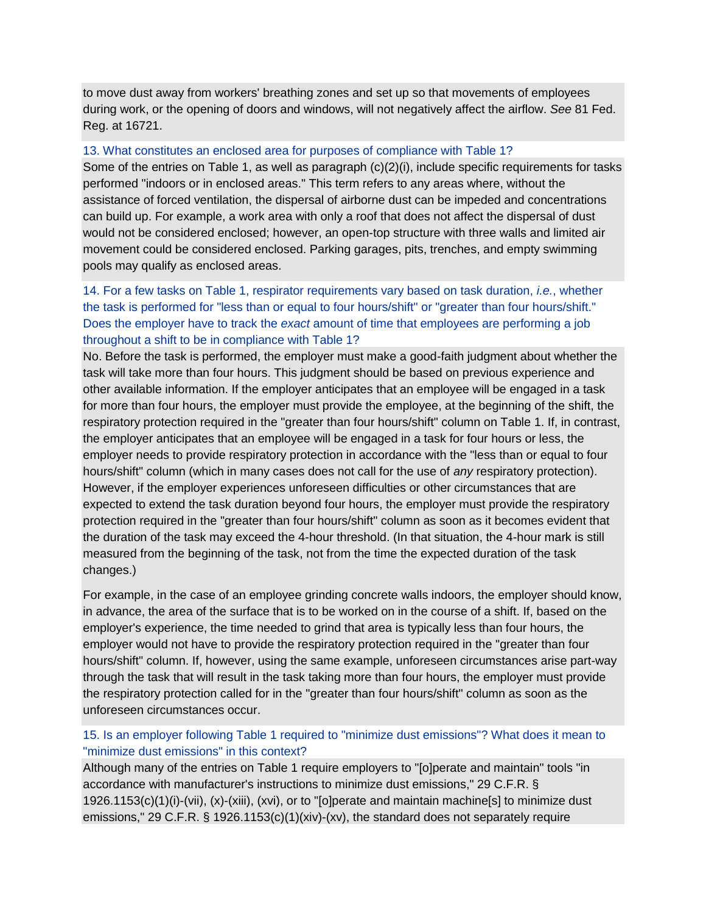to move dust away from workers' breathing zones and set up so that movements of employees during work, or the opening of doors and windows, will not negatively affect the airflow. *See* 81 Fed. Reg. at 16721.

#### 13. What [constitutes an enclosed area for purposes of compliance with Table 1?](https://www.osha.gov/dsg/topics/silicacrystalline/construction_info_silica.html#collapse3_6)

Some of the entries on Table 1, as well as paragraph (c)(2)(i), include specific requirements for tasks performed "indoors or in enclosed areas." This term refers to any areas where, without the assistance of forced ventilation, the dispersal of airborne dust can be impeded and concentrations can build up. For example, a work area with only a roof that does not affect the dispersal of dust would not be considered enclosed; however, an open-top structure with three walls and limited air movement could be considered enclosed. Parking garages, pits, trenches, and empty swimming pools may qualify as enclosed areas.

### [14. For a few tasks on Table 1, respirator requirements vary based on task duration,](https://www.osha.gov/dsg/topics/silicacrystalline/construction_info_silica.html#collapse3_7) *i.e.*, whether [the task is performed for "less than or equal to four hours/shift" or "greater than four hours/shift."](https://www.osha.gov/dsg/topics/silicacrystalline/construction_info_silica.html#collapse3_7)  Does the employer have to track the *exact* [amount of time that employees are performing a job](https://www.osha.gov/dsg/topics/silicacrystalline/construction_info_silica.html#collapse3_7)  [throughout a shift to be in compliance with Table 1?](https://www.osha.gov/dsg/topics/silicacrystalline/construction_info_silica.html#collapse3_7)

No. Before the task is performed, the employer must make a good-faith judgment about whether the task will take more than four hours. This judgment should be based on previous experience and other available information. If the employer anticipates that an employee will be engaged in a task for more than four hours, the employer must provide the employee, at the beginning of the shift, the respiratory protection required in the "greater than four hours/shift" column on Table 1. If, in contrast, the employer anticipates that an employee will be engaged in a task for four hours or less, the employer needs to provide respiratory protection in accordance with the "less than or equal to four hours/shift" column (which in many cases does not call for the use of *any* respiratory protection). However, if the employer experiences unforeseen difficulties or other circumstances that are expected to extend the task duration beyond four hours, the employer must provide the respiratory protection required in the "greater than four hours/shift" column as soon as it becomes evident that the duration of the task may exceed the 4-hour threshold. (In that situation, the 4-hour mark is still measured from the beginning of the task, not from the time the expected duration of the task changes.)

For example, in the case of an employee grinding concrete walls indoors, the employer should know, in advance, the area of the surface that is to be worked on in the course of a shift. If, based on the employer's experience, the time needed to grind that area is typically less than four hours, the employer would not have to provide the respiratory protection required in the "greater than four hours/shift" column. If, however, using the same example, unforeseen circumstances arise part-way through the task that will result in the task taking more than four hours, the employer must provide the respiratory protection called for in the "greater than four hours/shift" column as soon as the unforeseen circumstances occur.

### [15. Is an employer following Table 1 required to "minimize dust emissions"? What does it mean to](https://www.osha.gov/dsg/topics/silicacrystalline/construction_info_silica.html#collapse3_8)  ["minimize dust emissions" in this context?](https://www.osha.gov/dsg/topics/silicacrystalline/construction_info_silica.html#collapse3_8)

Although many of the entries on Table 1 require employers to "[o]perate and maintain" tools "in accordance with manufacturer's instructions to minimize dust emissions," 29 C.F.R. § 1926.1153(c)(1)(i)-(vii), (x)-(xiii), (xvi), or to "[o]perate and maintain machine[s] to minimize dust emissions," 29 C.F.R. § 1926.1153(c)(1)(xiv)-(xv), the standard does not separately require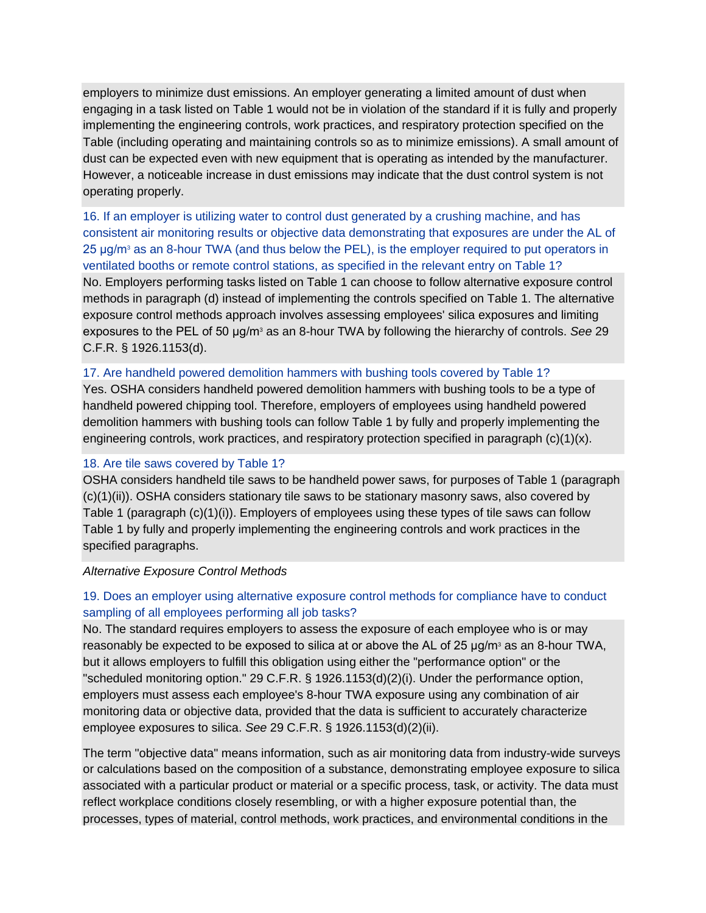employers to minimize dust emissions. An employer generating a limited amount of dust when engaging in a task listed on Table 1 would not be in violation of the standard if it is fully and properly implementing the engineering controls, work practices, and respiratory protection specified on the Table (including operating and maintaining controls so as to minimize emissions). A small amount of dust can be expected even with new equipment that is operating as intended by the manufacturer. However, a noticeable increase in dust emissions may indicate that the dust control system is not operating properly.

[16. If an employer is utilizing water to control dust generated by a crushing machine, and has](https://www.osha.gov/dsg/topics/silicacrystalline/construction_info_silica.html#collapse3_9)  [consistent air monitoring results or objective data demonstrating that exposures are under the AL of](https://www.osha.gov/dsg/topics/silicacrystalline/construction_info_silica.html#collapse3_9)  25 μg/m<sup>3</sup> as an 8-hour TWA (and thus below the PEL), is the employer required to put operators in [ventilated booths or remote control stations, as specified in the relevant entry on Table 1?](https://www.osha.gov/dsg/topics/silicacrystalline/construction_info_silica.html#collapse3_9) No. Employers performing tasks listed on Table 1 can choose to follow alternative exposure control methods in paragraph (d) instead of implementing the controls specified on Table 1. The alternative exposure control methods approach involves assessing employees' silica exposures and limiting exposures to the PEL of 50 μg/m<sup>3</sup> as an 8-hour TWA by following the hierarchy of controls. *See* 29 C.F.R. § 1926.1153(d).

#### [17. Are handheld powered demolition hammers with bushing tools covered by Table 1?](https://www.osha.gov/dsg/topics/silicacrystalline/construction_info_silica.html#collapse3_10)

Yes. OSHA considers handheld powered demolition hammers with bushing tools to be a type of handheld powered chipping tool. Therefore, employers of employees using handheld powered demolition hammers with bushing tools can follow Table 1 by fully and properly implementing the engineering controls, work practices, and respiratory protection specified in paragraph  $(c)(1)(x)$ .

#### [18. Are tile saws covered by Table 1?](https://www.osha.gov/dsg/topics/silicacrystalline/construction_info_silica.html#collapse3_11)

OSHA considers handheld tile saws to be handheld power saws, for purposes of Table 1 (paragraph (c)(1)(ii)). OSHA considers stationary tile saws to be stationary masonry saws, also covered by Table 1 (paragraph (c)(1)(i)). Employers of employees using these types of tile saws can follow Table 1 by fully and properly implementing the engineering controls and work practices in the specified paragraphs.

#### *Alternative Exposure Control Methods*

### [19. Does an employer using alternative exposure control methods for compliance have to conduct](https://www.osha.gov/dsg/topics/silicacrystalline/construction_info_silica.html#collapse4_1)  [sampling of all employees performing all job tasks?](https://www.osha.gov/dsg/topics/silicacrystalline/construction_info_silica.html#collapse4_1)

No. The standard requires employers to assess the exposure of each employee who is or may reasonably be expected to be exposed to silica at or above the AL of 25 μg/m<sup>3</sup> as an 8-hour TWA, but it allows employers to fulfill this obligation using either the "performance option" or the "scheduled monitoring option." 29 C.F.R. § 1926.1153(d)(2)(i). Under the performance option, employers must assess each employee's 8-hour TWA exposure using any combination of air monitoring data or objective data, provided that the data is sufficient to accurately characterize employee exposures to silica. *See* 29 C.F.R. § 1926.1153(d)(2)(ii).

The term "objective data" means information, such as air monitoring data from industry-wide surveys or calculations based on the composition of a substance, demonstrating employee exposure to silica associated with a particular product or material or a specific process, task, or activity. The data must reflect workplace conditions closely resembling, or with a higher exposure potential than, the processes, types of material, control methods, work practices, and environmental conditions in the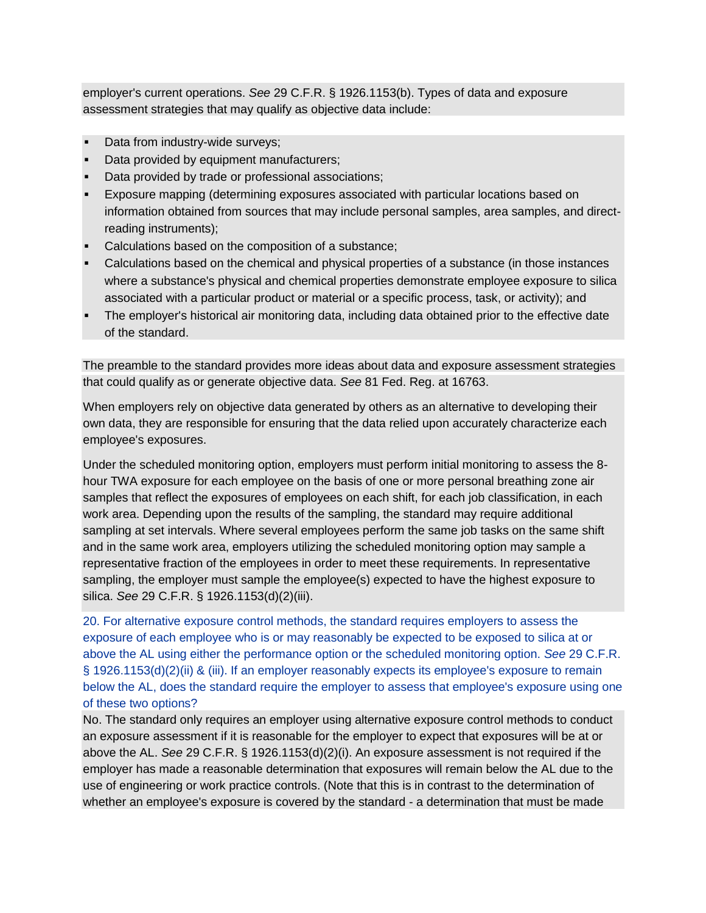employer's current operations. *See* 29 C.F.R. § 1926.1153(b). Types of data and exposure assessment strategies that may qualify as objective data include:

- Data from industry-wide surveys;
- Data provided by equipment manufacturers;
- Data provided by trade or professional associations;
- Exposure mapping (determining exposures associated with particular locations based on information obtained from sources that may include personal samples, area samples, and directreading instruments);
- Calculations based on the composition of a substance;
- Calculations based on the chemical and physical properties of a substance (in those instances where a substance's physical and chemical properties demonstrate employee exposure to silica associated with a particular product or material or a specific process, task, or activity); and
- The employer's historical air monitoring data, including data obtained prior to the effective date of the standard.

The preamble to the standard provides more ideas about data and exposure assessment strategies that could qualify as or generate objective data. *See* 81 Fed. Reg. at 16763.

When employers rely on objective data generated by others as an alternative to developing their own data, they are responsible for ensuring that the data relied upon accurately characterize each employee's exposures.

Under the scheduled monitoring option, employers must perform initial monitoring to assess the 8 hour TWA exposure for each employee on the basis of one or more personal breathing zone air samples that reflect the exposures of employees on each shift, for each job classification, in each work area. Depending upon the results of the sampling, the standard may require additional sampling at set intervals. Where several employees perform the same job tasks on the same shift and in the same work area, employers utilizing the scheduled monitoring option may sample a representative fraction of the employees in order to meet these requirements. In representative sampling, the employer must sample the employee(s) expected to have the highest exposure to silica. *See* 29 C.F.R. § 1926.1153(d)(2)(iii).

[20. For alternative exposure control methods, the standard requires employers to assess the](https://www.osha.gov/dsg/topics/silicacrystalline/construction_info_silica.html#collapse4_2)  [exposure of each employee who is or may reasonably be expected to be exposed to silica at or](https://www.osha.gov/dsg/topics/silicacrystalline/construction_info_silica.html#collapse4_2)  [above the AL using either the performance option or the scheduled monitoring option.](https://www.osha.gov/dsg/topics/silicacrystalline/construction_info_silica.html#collapse4_2) *See* 29 C.F.R. [§ 1926.1153\(d\)\(2\)\(ii\) & \(iii\). If an employer reasonably expects its employee's exposure to remain](https://www.osha.gov/dsg/topics/silicacrystalline/construction_info_silica.html#collapse4_2)  [below the AL, does the standard require the employer to assess that employee's exposure using one](https://www.osha.gov/dsg/topics/silicacrystalline/construction_info_silica.html#collapse4_2)  [of these two options?](https://www.osha.gov/dsg/topics/silicacrystalline/construction_info_silica.html#collapse4_2)

No. The standard only requires an employer using alternative exposure control methods to conduct an exposure assessment if it is reasonable for the employer to expect that exposures will be at or above the AL. *See* 29 C.F.R. § 1926.1153(d)(2)(i). An exposure assessment is not required if the employer has made a reasonable determination that exposures will remain below the AL due to the use of engineering or work practice controls. (Note that this is in contrast to the determination of whether an employee's exposure is covered by the standard - a determination that must be made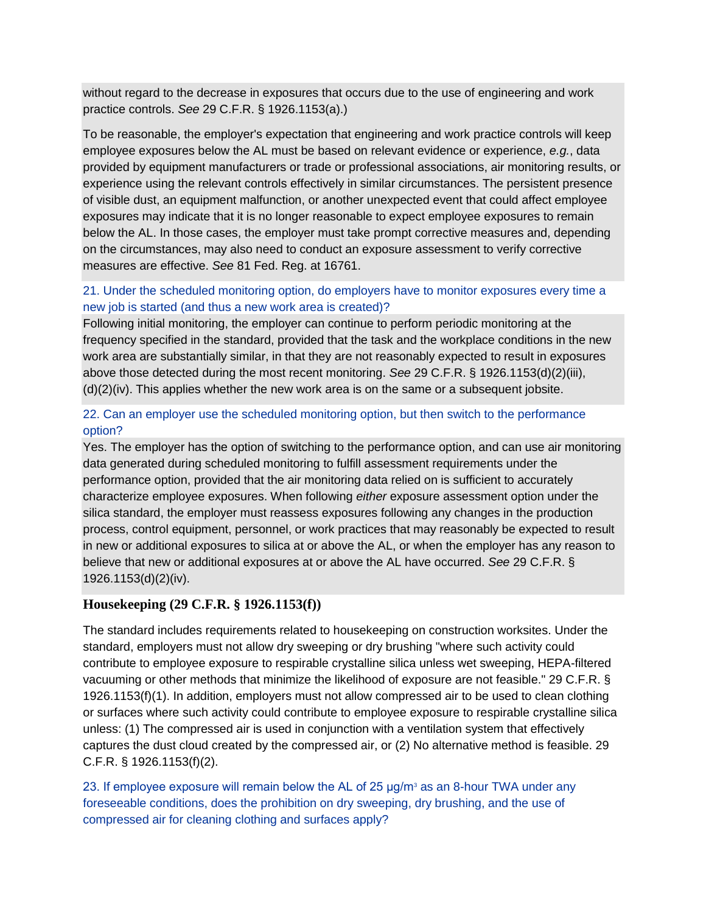without regard to the decrease in exposures that occurs due to the use of engineering and work practice controls. *See* 29 C.F.R. § 1926.1153(a).)

To be reasonable, the employer's expectation that engineering and work practice controls will keep employee exposures below the AL must be based on relevant evidence or experience, *e.g.*, data provided by equipment manufacturers or trade or professional associations, air monitoring results, or experience using the relevant controls effectively in similar circumstances. The persistent presence of visible dust, an equipment malfunction, or another unexpected event that could affect employee exposures may indicate that it is no longer reasonable to expect employee exposures to remain below the AL. In those cases, the employer must take prompt corrective measures and, depending on the circumstances, may also need to conduct an exposure assessment to verify corrective measures are effective. *See* 81 Fed. Reg. at 16761.

### [21. Under the scheduled monitoring option, do employers have to monitor exposures every time a](https://www.osha.gov/dsg/topics/silicacrystalline/construction_info_silica.html#collapse4_3)  [new job is started \(and thus a new work area is created\)?](https://www.osha.gov/dsg/topics/silicacrystalline/construction_info_silica.html#collapse4_3)

Following initial monitoring, the employer can continue to perform periodic monitoring at the frequency specified in the standard, provided that the task and the workplace conditions in the new work area are substantially similar, in that they are not reasonably expected to result in exposures above those detected during the most recent monitoring. *See* 29 C.F.R. § 1926.1153(d)(2)(iii), (d)(2)(iv). This applies whether the new work area is on the same or a subsequent jobsite.

### [22. Can an employer use the scheduled monitoring option, but then switch to the performance](https://www.osha.gov/dsg/topics/silicacrystalline/construction_info_silica.html#collapse4_4)  [option?](https://www.osha.gov/dsg/topics/silicacrystalline/construction_info_silica.html#collapse4_4)

Yes. The employer has the option of switching to the performance option, and can use air monitoring data generated during scheduled monitoring to fulfill assessment requirements under the performance option, provided that the air monitoring data relied on is sufficient to accurately characterize employee exposures. When following *either* exposure assessment option under the silica standard, the employer must reassess exposures following any changes in the production process, control equipment, personnel, or work practices that may reasonably be expected to result in new or additional exposures to silica at or above the AL, or when the employer has any reason to believe that new or additional exposures at or above the AL have occurred. *See* 29 C.F.R. § 1926.1153(d)(2)(iv).

### **Housekeeping (29 C.F.R. § 1926.1153(f))**

The standard includes requirements related to housekeeping on construction worksites. Under the standard, employers must not allow dry sweeping or dry brushing "where such activity could contribute to employee exposure to respirable crystalline silica unless wet sweeping, HEPA-filtered vacuuming or other methods that minimize the likelihood of exposure are not feasible." 29 C.F.R. § 1926.1153(f)(1). In addition, employers must not allow compressed air to be used to clean clothing or surfaces where such activity could contribute to employee exposure to respirable crystalline silica unless: (1) The compressed air is used in conjunction with a ventilation system that effectively captures the dust cloud created by the compressed air, or (2) No alternative method is feasible. 29 C.F.R. § 1926.1153(f)(2).

23. If employee exposure will remain below the AL of 25  $\mu$ g/m<sup>3</sup> as an 8-hour TWA under any [foreseeable conditions, does the prohibition on dry sweeping, dry brushing, and the use of](https://www.osha.gov/dsg/topics/silicacrystalline/construction_info_silica.html#collapse5_1)  [compressed air for cleaning clothing and surfaces apply?](https://www.osha.gov/dsg/topics/silicacrystalline/construction_info_silica.html#collapse5_1)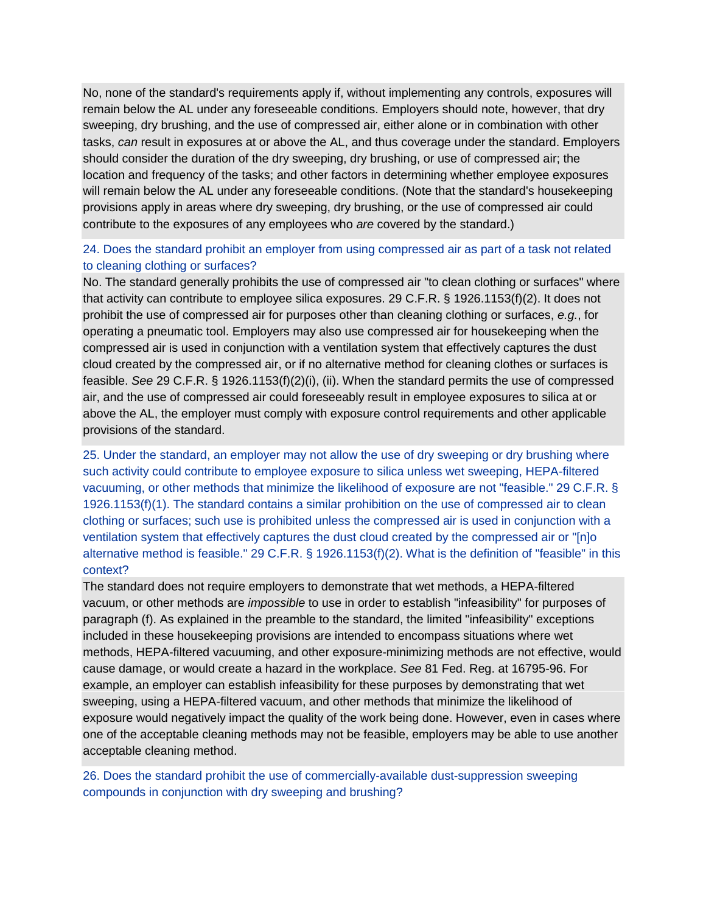No, none of the standard's requirements apply if, without implementing any controls, exposures will remain below the AL under any foreseeable conditions. Employers should note, however, that dry sweeping, dry brushing, and the use of compressed air, either alone or in combination with other tasks, *can* result in exposures at or above the AL, and thus coverage under the standard. Employers should consider the duration of the dry sweeping, dry brushing, or use of compressed air; the location and frequency of the tasks; and other factors in determining whether employee exposures will remain below the AL under any foreseeable conditions. (Note that the standard's housekeeping provisions apply in areas where dry sweeping, dry brushing, or the use of compressed air could contribute to the exposures of any employees who *are* covered by the standard.)

### [24. Does the standard prohibit an employer from using compressed air as part of a task not related](https://www.osha.gov/dsg/topics/silicacrystalline/construction_info_silica.html#collapse5_2)  [to cleaning clothing or surfaces?](https://www.osha.gov/dsg/topics/silicacrystalline/construction_info_silica.html#collapse5_2)

No. The standard generally prohibits the use of compressed air "to clean clothing or surfaces" where that activity can contribute to employee silica exposures. 29 C.F.R. § 1926.1153(f)(2). It does not prohibit the use of compressed air for purposes other than cleaning clothing or surfaces, *e.g.*, for operating a pneumatic tool. Employers may also use compressed air for housekeeping when the compressed air is used in conjunction with a ventilation system that effectively captures the dust cloud created by the compressed air, or if no alternative method for cleaning clothes or surfaces is feasible. *See* 29 C.F.R. § 1926.1153(f)(2)(i), (ii). When the standard permits the use of compressed air, and the use of compressed air could foreseeably result in employee exposures to silica at or above the AL, the employer must comply with exposure control requirements and other applicable provisions of the standard.

[25. Under the standard, an employer may not allow the use of dry sweeping or dry brushing where](https://www.osha.gov/dsg/topics/silicacrystalline/construction_info_silica.html#collapse5_3)  [such activity could contribute to employee exposure to silica unless wet sweeping, HEPA-filtered](https://www.osha.gov/dsg/topics/silicacrystalline/construction_info_silica.html#collapse5_3)  [vacuuming, or other methods that minimize the likelihood of exposure are not "feasible." 29 C.F.R. §](https://www.osha.gov/dsg/topics/silicacrystalline/construction_info_silica.html#collapse5_3)  [1926.1153\(f\)\(1\). The standard contains a similar prohibition on the use of compressed air to clean](https://www.osha.gov/dsg/topics/silicacrystalline/construction_info_silica.html#collapse5_3)  [clothing or surfaces; such use is prohibited unless the compressed air is used in conjunction with a](https://www.osha.gov/dsg/topics/silicacrystalline/construction_info_silica.html#collapse5_3)  [ventilation system that effectively captures the dust cloud created by the compressed air or "\[n\]o](https://www.osha.gov/dsg/topics/silicacrystalline/construction_info_silica.html#collapse5_3)  [alternative method is feasible." 29 C.F.R. § 1926.1153\(f\)\(2\). What is the definition of "feasible" in this](https://www.osha.gov/dsg/topics/silicacrystalline/construction_info_silica.html#collapse5_3)  [context?](https://www.osha.gov/dsg/topics/silicacrystalline/construction_info_silica.html#collapse5_3)

The standard does not require employers to demonstrate that wet methods, a HEPA-filtered vacuum, or other methods are *impossible* to use in order to establish "infeasibility" for purposes of paragraph (f). As explained in the preamble to the standard, the limited "infeasibility" exceptions included in these housekeeping provisions are intended to encompass situations where wet methods, HEPA-filtered vacuuming, and other exposure-minimizing methods are not effective, would cause damage, or would create a hazard in the workplace. *See* 81 Fed. Reg. at 16795-96. For example, an employer can establish infeasibility for these purposes by demonstrating that wet sweeping, using a HEPA-filtered vacuum, and other methods that minimize the likelihood of exposure would negatively impact the quality of the work being done. However, even in cases where one of the acceptable cleaning methods may not be feasible, employers may be able to use another acceptable cleaning method.

[26. Does the standard prohibit the use of commercially-available dust-suppression sweeping](https://www.osha.gov/dsg/topics/silicacrystalline/construction_info_silica.html#collapse5_4)  [compounds in conjunction with dry sweeping and brushing?](https://www.osha.gov/dsg/topics/silicacrystalline/construction_info_silica.html#collapse5_4)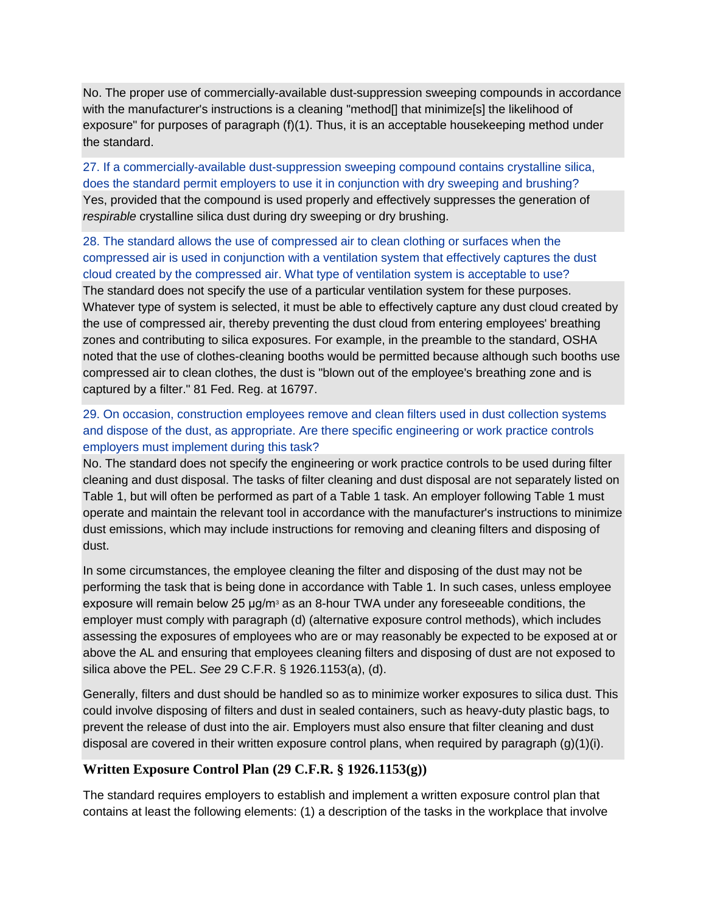No. The proper use of commercially-available dust-suppression sweeping compounds in accordance with the manufacturer's instructions is a cleaning "method<sup>[]</sup> that minimize<sup>[5]</sup> the likelihood of exposure" for purposes of paragraph (f)(1). Thus, it is an acceptable housekeeping method under the standard.

[27. If a commercially-available dust-suppression sweeping compound contains crystalline silica,](https://www.osha.gov/dsg/topics/silicacrystalline/construction_info_silica.html#collapse5_5)  [does the standard permit employers to use it in conjunction with dry sweeping and brushing?](https://www.osha.gov/dsg/topics/silicacrystalline/construction_info_silica.html#collapse5_5) Yes, provided that the compound is used properly and effectively suppresses the generation of *respirable* crystalline silica dust during dry sweeping or dry brushing.

[28. The standard allows the use of compressed air to clean clothing or surfaces when the](https://www.osha.gov/dsg/topics/silicacrystalline/construction_info_silica.html#collapse5_6)  [compressed air is used in conjunction with a ventilation system that effectively captures the dust](https://www.osha.gov/dsg/topics/silicacrystalline/construction_info_silica.html#collapse5_6)  [cloud created by the compressed air. What type of ventilation system is acceptable to use?](https://www.osha.gov/dsg/topics/silicacrystalline/construction_info_silica.html#collapse5_6) The standard does not specify the use of a particular ventilation system for these purposes. Whatever type of system is selected, it must be able to effectively capture any dust cloud created by the use of compressed air, thereby preventing the dust cloud from entering employees' breathing zones and contributing to silica exposures. For example, in the preamble to the standard, OSHA noted that the use of clothes-cleaning booths would be permitted because although such booths use compressed air to clean clothes, the dust is "blown out of the employee's breathing zone and is captured by a filter." 81 Fed. Reg. at 16797.

### [29. On occasion, construction employees remove and clean filters used in dust collection systems](https://www.osha.gov/dsg/topics/silicacrystalline/construction_info_silica.html#collapse5_7)  [and dispose of the dust, as appropriate. Are there specific engineering or work practice controls](https://www.osha.gov/dsg/topics/silicacrystalline/construction_info_silica.html#collapse5_7)  [employers must implement during this task?](https://www.osha.gov/dsg/topics/silicacrystalline/construction_info_silica.html#collapse5_7)

No. The standard does not specify the engineering or work practice controls to be used during filter cleaning and dust disposal. The tasks of filter cleaning and dust disposal are not separately listed on Table 1, but will often be performed as part of a Table 1 task. An employer following Table 1 must operate and maintain the relevant tool in accordance with the manufacturer's instructions to minimize dust emissions, which may include instructions for removing and cleaning filters and disposing of dust.

In some circumstances, the employee cleaning the filter and disposing of the dust may not be performing the task that is being done in accordance with Table 1. In such cases, unless employee exposure will remain below 25  $\mu q/m^3$  as an 8-hour TWA under any foreseeable conditions, the employer must comply with paragraph (d) (alternative exposure control methods), which includes assessing the exposures of employees who are or may reasonably be expected to be exposed at or above the AL and ensuring that employees cleaning filters and disposing of dust are not exposed to silica above the PEL. *See* 29 C.F.R. § 1926.1153(a), (d).

Generally, filters and dust should be handled so as to minimize worker exposures to silica dust. This could involve disposing of filters and dust in sealed containers, such as heavy-duty plastic bags, to prevent the release of dust into the air. Employers must also ensure that filter cleaning and dust disposal are covered in their written exposure control plans, when required by paragraph (g)(1)(i).

### **Written Exposure Control Plan (29 C.F.R. § 1926.1153(g))**

The standard requires employers to establish and implement a written exposure control plan that contains at least the following elements: (1) a description of the tasks in the workplace that involve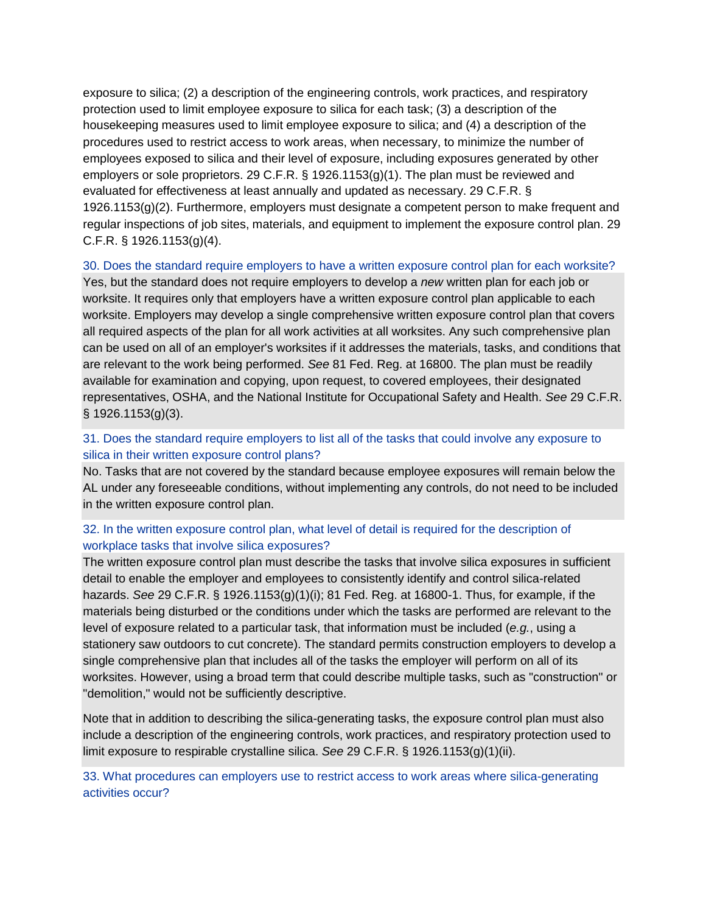exposure to silica; (2) a description of the engineering controls, work practices, and respiratory protection used to limit employee exposure to silica for each task; (3) a description of the housekeeping measures used to limit employee exposure to silica; and (4) a description of the procedures used to restrict access to work areas, when necessary, to minimize the number of employees exposed to silica and their level of exposure, including exposures generated by other employers or sole proprietors. 29 C.F.R. § 1926.1153(g)(1). The plan must be reviewed and evaluated for effectiveness at least annually and updated as necessary. 29 C.F.R. § 1926.1153(g)(2). Furthermore, employers must designate a competent person to make frequent and regular inspections of job sites, materials, and equipment to implement the exposure control plan. 29 C.F.R. § 1926.1153(g)(4).

#### [30. Does the standard require employers to have a written exposure control plan for each worksite?](https://www.osha.gov/dsg/topics/silicacrystalline/construction_info_silica.html#collapse6_1)

Yes, but the standard does not require employers to develop a *new* written plan for each job or worksite. It requires only that employers have a written exposure control plan applicable to each worksite. Employers may develop a single comprehensive written exposure control plan that covers all required aspects of the plan for all work activities at all worksites. Any such comprehensive plan can be used on all of an employer's worksites if it addresses the materials, tasks, and conditions that are relevant to the work being performed. *See* 81 Fed. Reg. at 16800. The plan must be readily available for examination and copying, upon request, to covered employees, their designated representatives, OSHA, and the National Institute for Occupational Safety and Health. *See* 29 C.F.R.  $§ 1926.1153(q)(3).$ 

### [31. Does the standard require employers to list all of the tasks that could involve any exposure to](https://www.osha.gov/dsg/topics/silicacrystalline/construction_info_silica.html#collapse6_2)  [silica in their written exposure control plans?](https://www.osha.gov/dsg/topics/silicacrystalline/construction_info_silica.html#collapse6_2)

No. Tasks that are not covered by the standard because employee exposures will remain below the AL under any foreseeable conditions, without implementing any controls, do not need to be included in the written exposure control plan.

### [32. In the written exposure control plan, what level of detail is required for the description of](https://www.osha.gov/dsg/topics/silicacrystalline/construction_info_silica.html#collapse6_3)  [workplace tasks that involve silica exposures?](https://www.osha.gov/dsg/topics/silicacrystalline/construction_info_silica.html#collapse6_3)

The written exposure control plan must describe the tasks that involve silica exposures in sufficient detail to enable the employer and employees to consistently identify and control silica-related hazards. *See* 29 C.F.R. § 1926.1153(g)(1)(i); 81 Fed. Reg. at 16800-1. Thus, for example, if the materials being disturbed or the conditions under which the tasks are performed are relevant to the level of exposure related to a particular task, that information must be included (*e.g.*, using a stationery saw outdoors to cut concrete). The standard permits construction employers to develop a single comprehensive plan that includes all of the tasks the employer will perform on all of its worksites. However, using a broad term that could describe multiple tasks, such as "construction" or "demolition," would not be sufficiently descriptive.

Note that in addition to describing the silica-generating tasks, the exposure control plan must also include a description of the engineering controls, work practices, and respiratory protection used to limit exposure to respirable crystalline silica. *See* 29 C.F.R. § 1926.1153(g)(1)(ii).

[33. What procedures can employers use to restrict access to work areas where silica-generating](https://www.osha.gov/dsg/topics/silicacrystalline/construction_info_silica.html#collapse6_4)  [activities occur?](https://www.osha.gov/dsg/topics/silicacrystalline/construction_info_silica.html#collapse6_4)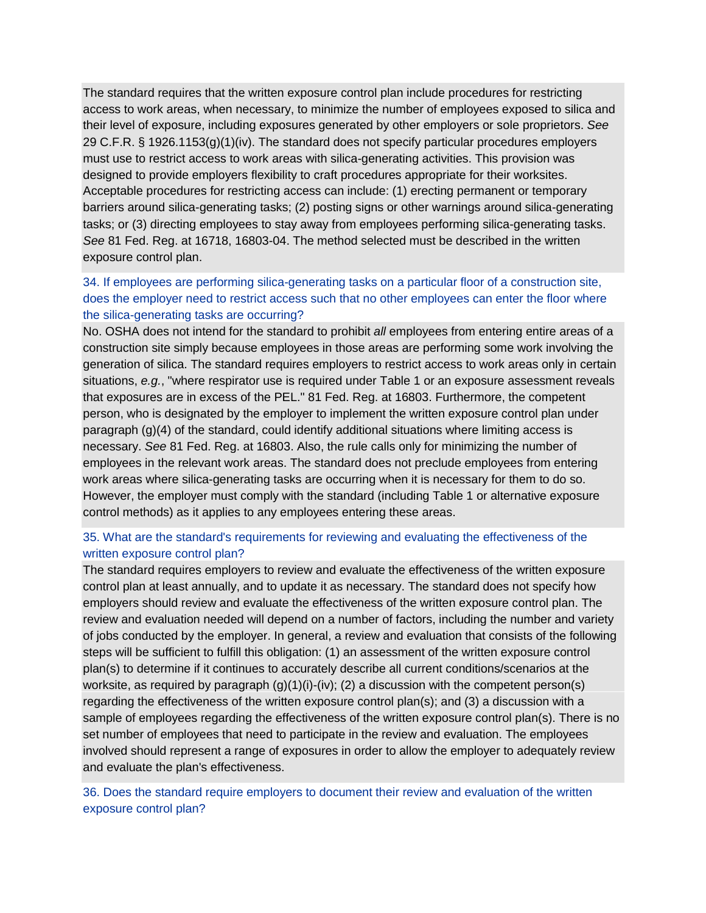The standard requires that the written exposure control plan include procedures for restricting access to work areas, when necessary, to minimize the number of employees exposed to silica and their level of exposure, including exposures generated by other employers or sole proprietors. *See* 29 C.F.R. § 1926.1153(g)(1)(iv). The standard does not specify particular procedures employers must use to restrict access to work areas with silica-generating activities. This provision was designed to provide employers flexibility to craft procedures appropriate for their worksites. Acceptable procedures for restricting access can include: (1) erecting permanent or temporary barriers around silica-generating tasks; (2) posting signs or other warnings around silica-generating tasks; or (3) directing employees to stay away from employees performing silica-generating tasks. *See* 81 Fed. Reg. at 16718, 16803-04. The method selected must be described in the written exposure control plan.

### [34. If employees are performing silica-generating tasks on a particular floor of a construction site,](https://www.osha.gov/dsg/topics/silicacrystalline/construction_info_silica.html#collapse6_5)  [does the employer need to restrict access such that no other employees can enter the floor where](https://www.osha.gov/dsg/topics/silicacrystalline/construction_info_silica.html#collapse6_5)  [the silica-generating tasks are occurring?](https://www.osha.gov/dsg/topics/silicacrystalline/construction_info_silica.html#collapse6_5)

No. OSHA does not intend for the standard to prohibit *all* employees from entering entire areas of a construction site simply because employees in those areas are performing some work involving the generation of silica. The standard requires employers to restrict access to work areas only in certain situations, *e.g.*, "where respirator use is required under Table 1 or an exposure assessment reveals that exposures are in excess of the PEL." 81 Fed. Reg. at 16803. Furthermore, the competent person, who is designated by the employer to implement the written exposure control plan under paragraph (g)(4) of the standard, could identify additional situations where limiting access is necessary. *See* 81 Fed. Reg. at 16803. Also, the rule calls only for minimizing the number of employees in the relevant work areas. The standard does not preclude employees from entering work areas where silica-generating tasks are occurring when it is necessary for them to do so. However, the employer must comply with the standard (including Table 1 or alternative exposure control methods) as it applies to any employees entering these areas.

### [35. What are the standard's requirements for reviewing and evaluating the effectiveness of the](https://www.osha.gov/dsg/topics/silicacrystalline/construction_info_silica.html#collapse6_6)  [written exposure control plan?](https://www.osha.gov/dsg/topics/silicacrystalline/construction_info_silica.html#collapse6_6)

The standard requires employers to review and evaluate the effectiveness of the written exposure control plan at least annually, and to update it as necessary. The standard does not specify how employers should review and evaluate the effectiveness of the written exposure control plan. The review and evaluation needed will depend on a number of factors, including the number and variety of jobs conducted by the employer. In general, a review and evaluation that consists of the following steps will be sufficient to fulfill this obligation: (1) an assessment of the written exposure control plan(s) to determine if it continues to accurately describe all current conditions/scenarios at the worksite, as required by paragraph (g)(1)(i)-(iv); (2) a discussion with the competent person(s) regarding the effectiveness of the written exposure control plan(s); and (3) a discussion with a sample of employees regarding the effectiveness of the written exposure control plan(s). There is no set number of employees that need to participate in the review and evaluation. The employees involved should represent a range of exposures in order to allow the employer to adequately review and evaluate the plan's effectiveness.

[36. Does the standard require employers to document their review and evaluation of the written](https://www.osha.gov/dsg/topics/silicacrystalline/construction_info_silica.html#collapse6_7)  [exposure control plan?](https://www.osha.gov/dsg/topics/silicacrystalline/construction_info_silica.html#collapse6_7)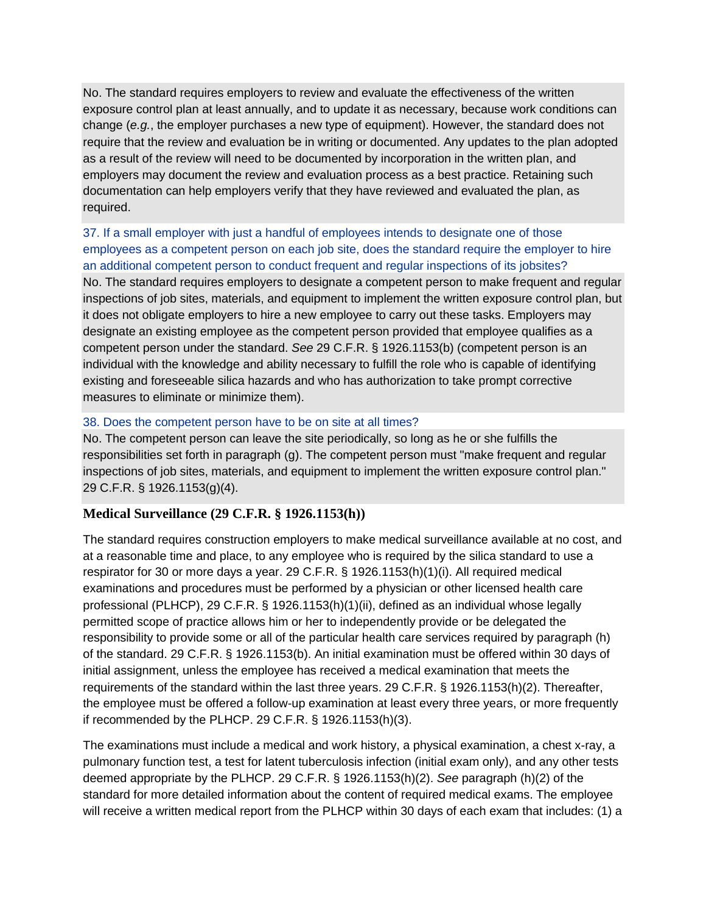No. The standard requires employers to review and evaluate the effectiveness of the written exposure control plan at least annually, and to update it as necessary, because work conditions can change (*e.g.*, the employer purchases a new type of equipment). However, the standard does not require that the review and evaluation be in writing or documented. Any updates to the plan adopted as a result of the review will need to be documented by incorporation in the written plan, and employers may document the review and evaluation process as a best practice. Retaining such documentation can help employers verify that they have reviewed and evaluated the plan, as required.

[37. If a small employer with just a handful of employees intends to designate one of](https://www.osha.gov/dsg/topics/silicacrystalline/construction_info_silica.html#collapse6_8) those [employees as a competent person on each job site, does the standard require the employer to hire](https://www.osha.gov/dsg/topics/silicacrystalline/construction_info_silica.html#collapse6_8)  [an additional competent person to conduct frequent and regular inspections of its jobsites?](https://www.osha.gov/dsg/topics/silicacrystalline/construction_info_silica.html#collapse6_8) No. The standard requires employers to designate a competent person to make frequent and regular inspections of job sites, materials, and equipment to implement the written exposure control plan, but it does not obligate employers to hire a new employee to carry out these tasks. Employers may designate an existing employee as the competent person provided that employee qualifies as a competent person under the standard. *See* 29 C.F.R. § 1926.1153(b) (competent person is an individual with the knowledge and ability necessary to fulfill the role who is capable of identifying existing and foreseeable silica hazards and who has authorization to take prompt corrective measures to eliminate or minimize them).

### [38. Does the competent person have to be on site at all times?](https://www.osha.gov/dsg/topics/silicacrystalline/construction_info_silica.html#collapse6_9)

No. The competent person can leave the site periodically, so long as he or she fulfills the responsibilities set forth in paragraph (g). The competent person must "make frequent and regular inspections of job sites, materials, and equipment to implement the written exposure control plan." 29 C.F.R. § 1926.1153(g)(4).

### **Medical Surveillance (29 C.F.R. § 1926.1153(h))**

The standard requires construction employers to make medical surveillance available at no cost, and at a reasonable time and place, to any employee who is required by the silica standard to use a respirator for 30 or more days a year. 29 C.F.R. § 1926.1153(h)(1)(i). All required medical examinations and procedures must be performed by a physician or other licensed health care professional (PLHCP), 29 C.F.R. § 1926.1153(h)(1)(ii), defined as an individual whose legally permitted scope of practice allows him or her to independently provide or be delegated the responsibility to provide some or all of the particular health care services required by paragraph (h) of the standard. 29 C.F.R. § 1926.1153(b). An initial examination must be offered within 30 days of initial assignment, unless the employee has received a medical examination that meets the requirements of the standard within the last three years. 29 C.F.R. § 1926.1153(h)(2). Thereafter, the employee must be offered a follow-up examination at least every three years, or more frequently if recommended by the PLHCP. 29 C.F.R. § 1926.1153(h)(3).

The examinations must include a medical and work history, a physical examination, a chest x-ray, a pulmonary function test, a test for latent tuberculosis infection (initial exam only), and any other tests deemed appropriate by the PLHCP. 29 C.F.R. § 1926.1153(h)(2). *See* paragraph (h)(2) of the standard for more detailed information about the content of required medical exams. The employee will receive a written medical report from the PLHCP within 30 days of each exam that includes: (1) a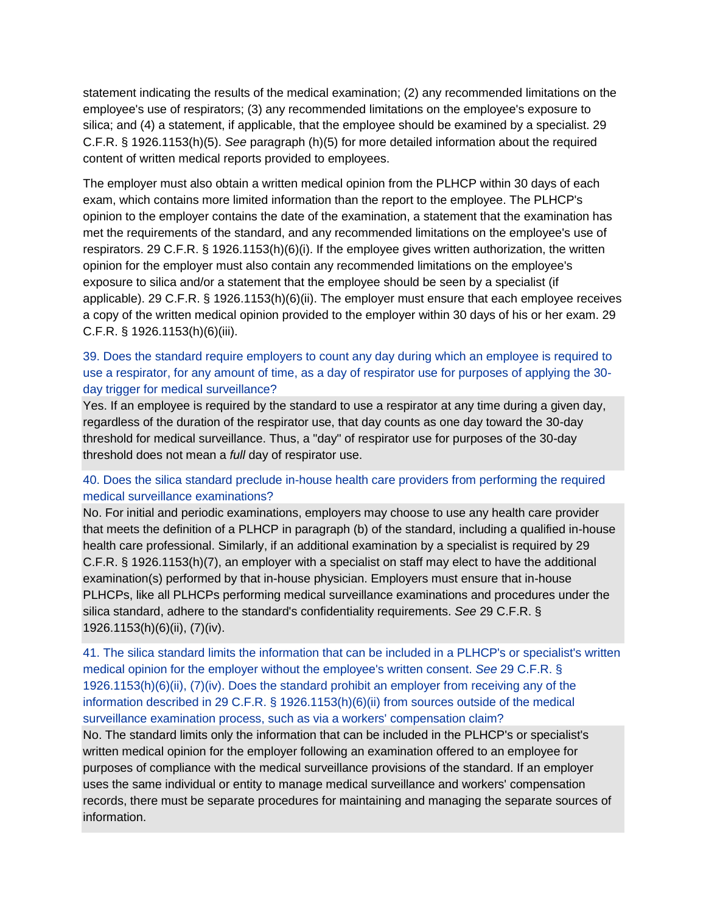statement indicating the results of the medical examination; (2) any recommended limitations on the employee's use of respirators; (3) any recommended limitations on the employee's exposure to silica; and (4) a statement, if applicable, that the employee should be examined by a specialist. 29 C.F.R. § 1926.1153(h)(5). *See* paragraph (h)(5) for more detailed information about the required content of written medical reports provided to employees.

The employer must also obtain a written medical opinion from the PLHCP within 30 days of each exam, which contains more limited information than the report to the employee. The PLHCP's opinion to the employer contains the date of the examination, a statement that the examination has met the requirements of the standard, and any recommended limitations on the employee's use of respirators. 29 C.F.R. § 1926.1153(h)(6)(i). If the employee gives written authorization, the written opinion for the employer must also contain any recommended limitations on the employee's exposure to silica and/or a statement that the employee should be seen by a specialist (if applicable). 29 C.F.R. § 1926.1153(h)(6)(ii). The employer must ensure that each employee receives a copy of the written medical opinion provided to the employer within 30 days of his or her exam. 29 C.F.R. § 1926.1153(h)(6)(iii).

### [39. Does the standard require employers to count any day during which an employee is required to](https://www.osha.gov/dsg/topics/silicacrystalline/construction_info_silica.html#collapse7_1)  [use a respirator, for any amount of time, as a day of respirator use for purposes of applying the 30](https://www.osha.gov/dsg/topics/silicacrystalline/construction_info_silica.html#collapse7_1) [day trigger for medical surveillance?](https://www.osha.gov/dsg/topics/silicacrystalline/construction_info_silica.html#collapse7_1)

Yes. If an employee is required by the standard to use a respirator at any time during a given day, regardless of the duration of the respirator use, that day counts as one day toward the 30-day threshold for medical surveillance. Thus, a "day" of respirator use for purposes of the 30-day threshold does not mean a *full* day of respirator use.

### [40. Does the silica standard preclude in-house health care providers from performing the required](https://www.osha.gov/dsg/topics/silicacrystalline/construction_info_silica.html#collapse7_2)  [medical surveillance examinations?](https://www.osha.gov/dsg/topics/silicacrystalline/construction_info_silica.html#collapse7_2)

No. For initial and periodic examinations, employers may choose to use any health care provider that meets the definition of a PLHCP in paragraph (b) of the standard, including a qualified in-house health care professional. Similarly, if an additional examination by a specialist is required by 29 C.F.R. § 1926.1153(h)(7), an employer with a specialist on staff may elect to have the additional examination(s) performed by that in-house physician. Employers must ensure that in-house PLHCPs, like all PLHCPs performing medical surveillance examinations and procedures under the silica standard, adhere to the standard's confidentiality requirements. *See* 29 C.F.R. § 1926.1153(h)(6)(ii), (7)(iv).

[41. The silica standard limits the information that can be included in a PLHCP's or specialist's written](https://www.osha.gov/dsg/topics/silicacrystalline/construction_info_silica.html#collapse7_3)  [medical opinion for the employer without the employee's written consent.](https://www.osha.gov/dsg/topics/silicacrystalline/construction_info_silica.html#collapse7_3) *See* 29 C.F.R. § [1926.1153\(h\)\(6\)\(ii\), \(7\)\(iv\). Does the standard prohibit an employer from receiving any of the](https://www.osha.gov/dsg/topics/silicacrystalline/construction_info_silica.html#collapse7_3)  [information described in 29 C.F.R. § 1926.1153\(h\)\(6\)\(ii\) from sources outside of the medical](https://www.osha.gov/dsg/topics/silicacrystalline/construction_info_silica.html#collapse7_3)  [surveillance examination process, such as via a workers' compensation claim?](https://www.osha.gov/dsg/topics/silicacrystalline/construction_info_silica.html#collapse7_3)

No. The standard limits only the information that can be included in the PLHCP's or specialist's written medical opinion for the employer following an examination offered to an employee for purposes of compliance with the medical surveillance provisions of the standard. If an employer uses the same individual or entity to manage medical surveillance and workers' compensation records, there must be separate procedures for maintaining and managing the separate sources of information.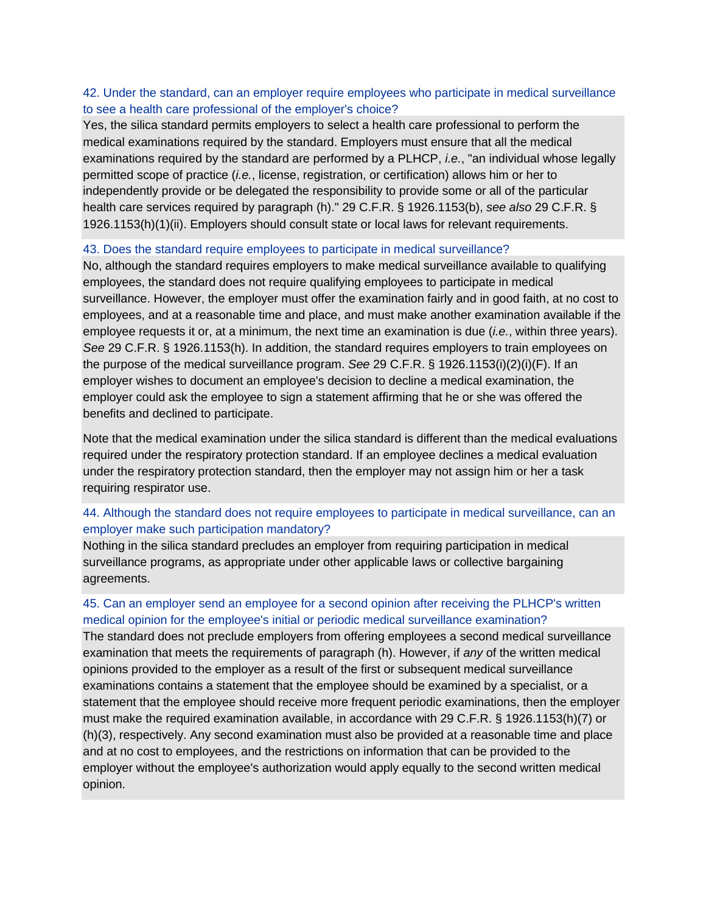### [42. Under the standard, can an employer require employees who participate in medical surveillance](https://www.osha.gov/dsg/topics/silicacrystalline/construction_info_silica.html#collapse7_4)  [to see a health care professional of the employer's choice?](https://www.osha.gov/dsg/topics/silicacrystalline/construction_info_silica.html#collapse7_4)

Yes, the silica standard permits employers to select a health care professional to perform the medical examinations required by the standard. Employers must ensure that all the medical examinations required by the standard are performed by a PLHCP, *i.e.*, "an individual whose legally permitted scope of practice (*i.e.*, license, registration, or certification) allows him or her to independently provide or be delegated the responsibility to provide some or all of the particular health care services required by paragraph (h)." 29 C.F.R. § 1926.1153(b), *see also* 29 C.F.R. § 1926.1153(h)(1)(ii). Employers should consult state or local laws for relevant requirements.

#### [43. Does the standard require employees to participate in medical surveillance?](https://www.osha.gov/dsg/topics/silicacrystalline/construction_info_silica.html#collapse7_5)

No, although the standard requires employers to make medical surveillance available to qualifying employees, the standard does not require qualifying employees to participate in medical surveillance. However, the employer must offer the examination fairly and in good faith, at no cost to employees, and at a reasonable time and place, and must make another examination available if the employee requests it or, at a minimum, the next time an examination is due (*i.e.*, within three years). *See* 29 C.F.R. § 1926.1153(h). In addition, the standard requires employers to train employees on the purpose of the medical surveillance program. *See* 29 C.F.R. § 1926.1153(i)(2)(i)(F). If an employer wishes to document an employee's decision to decline a medical examination, the employer could ask the employee to sign a statement affirming that he or she was offered the benefits and declined to participate.

Note that the medical examination under the silica standard is different than the medical evaluations required under the respiratory protection standard. If an employee declines a medical evaluation under the respiratory protection standard, then the employer may not assign him or her a task requiring respirator use.

### [44. Although the standard does not require employees to participate in medical surveillance, can an](https://www.osha.gov/dsg/topics/silicacrystalline/construction_info_silica.html#collapse7_6)  [employer make such participation mandatory?](https://www.osha.gov/dsg/topics/silicacrystalline/construction_info_silica.html#collapse7_6)

Nothing in the silica standard precludes an employer from requiring participation in medical surveillance programs, as appropriate under other applicable laws or collective bargaining agreements.

### 45. Can an employer send an employee for a [second opinion after receiving the PLHCP's written](https://www.osha.gov/dsg/topics/silicacrystalline/construction_info_silica.html#collapse7_7)  [medical opinion for the employee's initial or periodic medical surveillance examination?](https://www.osha.gov/dsg/topics/silicacrystalline/construction_info_silica.html#collapse7_7)

The standard does not preclude employers from offering employees a second medical surveillance examination that meets the requirements of paragraph (h). However, if *any* of the written medical opinions provided to the employer as a result of the first or subsequent medical surveillance examinations contains a statement that the employee should be examined by a specialist, or a statement that the employee should receive more frequent periodic examinations, then the employer must make the required examination available, in accordance with 29 C.F.R. § 1926.1153(h)(7) or (h)(3), respectively. Any second examination must also be provided at a reasonable time and place and at no cost to employees, and the restrictions on information that can be provided to the employer without the employee's authorization would apply equally to the second written medical opinion.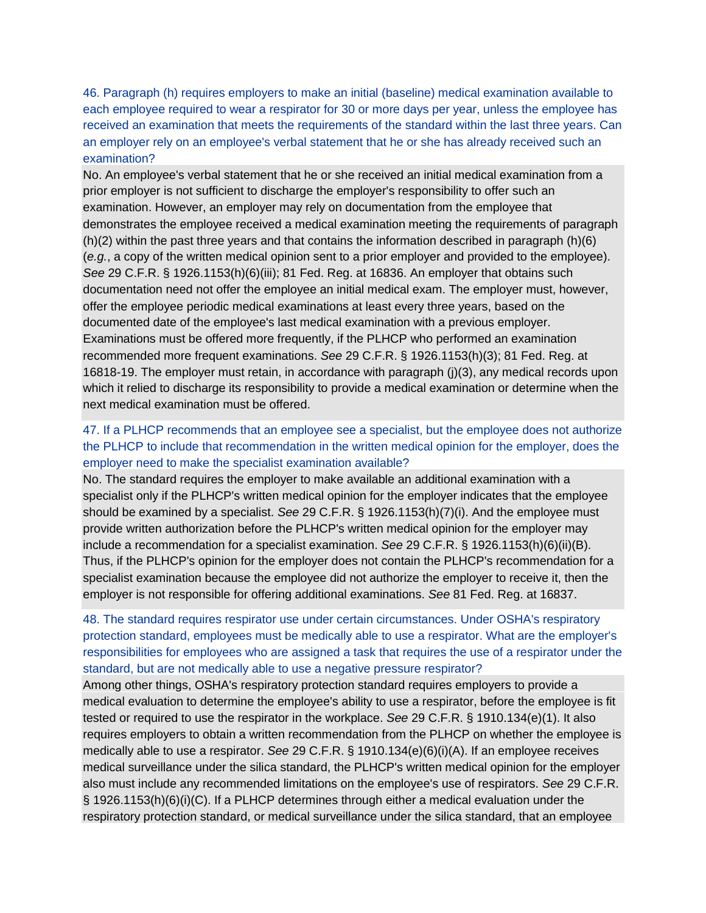[46. Paragraph \(h\) requires employers to make an initial \(baseline\) medical examination available to](https://www.osha.gov/dsg/topics/silicacrystalline/construction_info_silica.html#collapse7_8)  [each employee required to wear a respirator for 30 or more days per year, unless the employee has](https://www.osha.gov/dsg/topics/silicacrystalline/construction_info_silica.html#collapse7_8)  [received an examination that meets the requirements of the standard within the last three years. Can](https://www.osha.gov/dsg/topics/silicacrystalline/construction_info_silica.html#collapse7_8)  [an employer rely on an employee's verbal statement that he or she has already received such an](https://www.osha.gov/dsg/topics/silicacrystalline/construction_info_silica.html#collapse7_8)  [examination?](https://www.osha.gov/dsg/topics/silicacrystalline/construction_info_silica.html#collapse7_8)

No. An employee's verbal statement that he or she received an initial medical examination from a prior employer is not sufficient to discharge the employer's responsibility to offer such an examination. However, an employer may rely on documentation from the employee that demonstrates the employee received a medical examination meeting the requirements of paragraph (h)(2) within the past three years and that contains the information described in paragraph (h)(6) (*e.g.*, a copy of the written medical opinion sent to a prior employer and provided to the employee). *See* 29 C.F.R. § 1926.1153(h)(6)(iii); 81 Fed. Reg. at 16836. An employer that obtains such documentation need not offer the employee an initial medical exam. The employer must, however, offer the employee periodic medical examinations at least every three years, based on the documented date of the employee's last medical examination with a previous employer. Examinations must be offered more frequently, if the PLHCP who performed an examination recommended more frequent examinations. *See* 29 C.F.R. § 1926.1153(h)(3); 81 Fed. Reg. at 16818-19. The employer must retain, in accordance with paragraph (j)(3), any medical records upon which it relied to discharge its responsibility to provide a medical examination or determine when the next medical examination must be offered.

### [47. If a PLHCP recommends that an employee see a specialist, but the employee does not authorize](https://www.osha.gov/dsg/topics/silicacrystalline/construction_info_silica.html#collapse7_9)  [the PLHCP to include that recommendation in the written medical opinion for the employer, does the](https://www.osha.gov/dsg/topics/silicacrystalline/construction_info_silica.html#collapse7_9)  [employer need to make the specialist examination available?](https://www.osha.gov/dsg/topics/silicacrystalline/construction_info_silica.html#collapse7_9)

No. The standard requires the employer to make available an additional examination with a specialist only if the PLHCP's written medical opinion for the employer indicates that the employee should be examined by a specialist. *See* 29 C.F.R. § 1926.1153(h)(7)(i). And the employee must provide written authorization before the PLHCP's written medical opinion for the employer may include a recommendation for a specialist examination. *See* 29 C.F.R. § 1926.1153(h)(6)(ii)(B). Thus, if the PLHCP's opinion for the employer does not contain the PLHCP's recommendation for a specialist examination because the employee did not authorize the employer to receive it, then the employer is not responsible for offering additional examinations. *See* 81 Fed. Reg. at 16837.

## [48. The standard requires respirator use under certain circumstances. Under OSHA's respiratory](https://www.osha.gov/dsg/topics/silicacrystalline/construction_info_silica.html#collapse7_10)  [protection standard, employees must be medically able to use a respirator. What are the employer's](https://www.osha.gov/dsg/topics/silicacrystalline/construction_info_silica.html#collapse7_10)  [responsibilities for employees who are assigned a task that requires the use of a respirator under the](https://www.osha.gov/dsg/topics/silicacrystalline/construction_info_silica.html#collapse7_10)  [standard, but are not medically able to use a negative pressure respirator?](https://www.osha.gov/dsg/topics/silicacrystalline/construction_info_silica.html#collapse7_10)

Among other things, OSHA's respiratory protection standard requires employers to provide a medical evaluation to determine the employee's ability to use a respirator, before the employee is fit tested or required to use the respirator in the workplace. *See* 29 C.F.R. § 1910.134(e)(1). It also requires employers to obtain a written recommendation from the PLHCP on whether the employee is medically able to use a respirator. *See* 29 C.F.R. § 1910.134(e)(6)(i)(A). If an employee receives medical surveillance under the silica standard, the PLHCP's written medical opinion for the employer also must include any recommended limitations on the employee's use of respirators. *See* 29 C.F.R. § 1926.1153(h)(6)(i)(C). If a PLHCP determines through either a medical evaluation under the respiratory protection standard, or medical surveillance under the silica standard, that an employee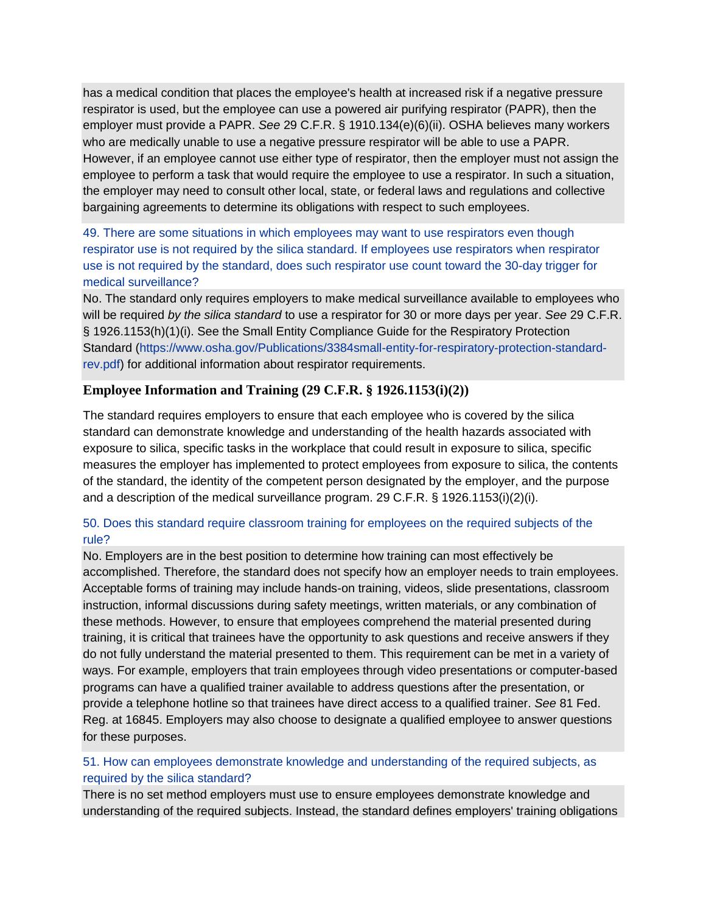has a medical condition that places the employee's health at increased risk if a negative pressure respirator is used, but the employee can use a powered air purifying respirator (PAPR), then the employer must provide a PAPR. *See* 29 C.F.R. § 1910.134(e)(6)(ii). OSHA believes many workers who are medically unable to use a negative pressure respirator will be able to use a PAPR. However, if an employee cannot use either type of respirator, then the employer must not assign the employee to perform a task that would require the employee to use a respirator. In such a situation, the employer may need to consult other local, state, or federal laws and regulations and collective bargaining agreements to determine its obligations with respect to such employees.

[49. There are some situations in which employees may want to use respirators even though](https://www.osha.gov/dsg/topics/silicacrystalline/construction_info_silica.html#collapse7_11)  [respirator use is not required by the silica standard. If employees use respirators when respirator](https://www.osha.gov/dsg/topics/silicacrystalline/construction_info_silica.html#collapse7_11)  [use is not required by the standard, does such respirator use count toward the 30-day trigger for](https://www.osha.gov/dsg/topics/silicacrystalline/construction_info_silica.html#collapse7_11)  [medical surveillance?](https://www.osha.gov/dsg/topics/silicacrystalline/construction_info_silica.html#collapse7_11)

No. The standard only requires employers to make medical surveillance available to employees who will be required *by the silica standard* to use a respirator for 30 or more days per year. *See* 29 C.F.R. § 1926.1153(h)(1)(i). See the Small Entity Compliance Guide for the Respiratory Protection Standard [\(https://www.osha.gov/Publications/3384small-entity-for-respiratory-protection-standard](https://www.osha.gov/Publications/3384small-entity-for-respiratory-protection-standard-rev.pdf)[rev.pdf\)](https://www.osha.gov/Publications/3384small-entity-for-respiratory-protection-standard-rev.pdf) for additional information about respirator requirements.

### **Employee Information and Training (29 C.F.R. § 1926.1153(i)(2))**

The standard requires employers to ensure that each employee who is covered by the silica standard can demonstrate knowledge and understanding of the health hazards associated with exposure to silica, specific tasks in the workplace that could result in exposure to silica, specific measures the employer has implemented to protect employees from exposure to silica, the contents of the standard, the identity of the competent person designated by the employer, and the purpose and a description of the medical surveillance program. 29 C.F.R. § 1926.1153(i)(2)(i).

### [50. Does this standard require classroom training for employees on the required subjects of the](https://www.osha.gov/dsg/topics/silicacrystalline/construction_info_silica.html#collapse8_1)  [rule?](https://www.osha.gov/dsg/topics/silicacrystalline/construction_info_silica.html#collapse8_1)

No. Employers are in the best position to determine how training can most effectively be accomplished. Therefore, the standard does not specify how an employer needs to train employees. Acceptable forms of training may include hands-on training, videos, slide presentations, classroom instruction, informal discussions during safety meetings, written materials, or any combination of these methods. However, to ensure that employees comprehend the material presented during training, it is critical that trainees have the opportunity to ask questions and receive answers if they do not fully understand the material presented to them. This requirement can be met in a variety of ways. For example, employers that train employees through video presentations or computer-based programs can have a qualified trainer available to address questions after the presentation, or provide a telephone hotline so that trainees have direct access to a qualified trainer. *See* 81 Fed. Reg. at 16845. Employers may also choose to designate a qualified employee to answer questions for these purposes.

### [51. How can employees demonstrate knowledge and understanding of the required subjects, as](https://www.osha.gov/dsg/topics/silicacrystalline/construction_info_silica.html#collapse8_2)  [required by the silica standard?](https://www.osha.gov/dsg/topics/silicacrystalline/construction_info_silica.html#collapse8_2)

There is no set method employers must use to ensure employees demonstrate knowledge and understanding of the required subjects. Instead, the standard defines employers' training obligations